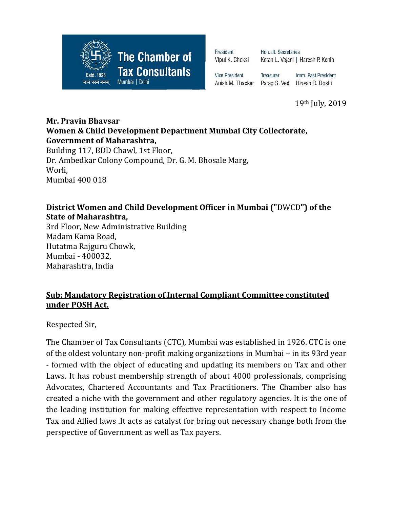

President Vipul K. Choksi Hon. Jt. Secretaries Ketan L. Vajani | Haresh P. Kenia

**Vice President** 

Treasurer Imm. Past President Anish M. Thacker Parag S. Ved Hinesh R. Doshi

19th July, 2019

## **Mr. Pravin Bhavsar Women & Child Development Department Mumbai City Collectorate, Government of Maharashtra,**

Building 117, BDD Chawl, 1st Floor, Dr. Ambedkar Colony Compound, Dr. G. M. Bhosale Marg, Worli, Mumbai 400 018

## **District Women and Child Development Officer in Mumbai ("**DWCD**") of the State of Maharashtra,**

3rd Floor, New Administrative Building Madam Kama Road, Hutatma Rajguru Chowk, Mumbai - 400032, Maharashtra, India

## **Sub: Mandatory Registration of Internal Compliant Committee constituted under POSH Act.**

Respected Sir,

The Chamber of Tax Consultants (CTC), Mumbai was established in 1926. CTC is one of the oldest voluntary non-profit making organizations in Mumbai – in its 93rd year - formed with the object of educating and updating its members on Tax and other Laws. It has robust membership strength of about 4000 professionals, comprising Advocates, Chartered Accountants and Tax Practitioners. The Chamber also has created a niche with the government and other regulatory agencies. It is the one of the leading institution for making effective representation with respect to Income Tax and Allied laws .It acts as catalyst for bring out necessary change both from the perspective of Government as well as Tax payers.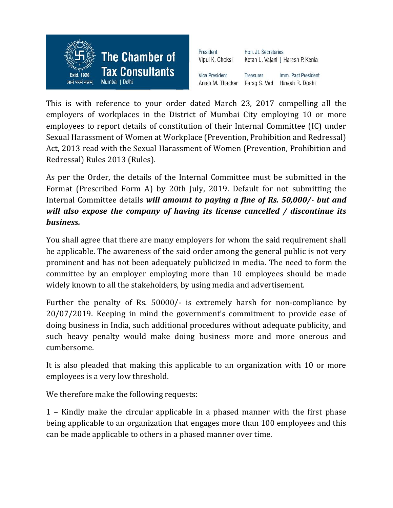

This is with reference to your order dated March 23, 2017 compelling all the employers of workplaces in the District of Mumbai City employing 10 or more employees to report details of constitution of their Internal Committee (IC) under Sexual Harassment of Women at Workplace (Prevention, Prohibition and Redressal) Act, 2013 read with the Sexual Harassment of Women (Prevention, Prohibition and Redressal) Rules 2013 (Rules).

As per the Order, the details of the Internal Committee must be submitted in the Format (Prescribed Form A) by 20th July, 2019. Default for not submitting the Internal Committee details *will amount to paying a fine of Rs. 50,000/- but and will also expose the company of having its license cancelled / discontinue its business.*

You shall agree that there are many employers for whom the said requirement shall be applicable. The awareness of the said order among the general public is not very prominent and has not been adequately publicized in media. The need to form the committee by an employer employing more than 10 employees should be made widely known to all the stakeholders, by using media and advertisement.

Further the penalty of Rs. 50000/- is extremely harsh for non-compliance by 20/07/2019. Keeping in mind the government's commitment to provide ease of doing business in India, such additional procedures without adequate publicity, and such heavy penalty would make doing business more and more onerous and cumbersome.

It is also pleaded that making this applicable to an organization with 10 or more employees is a very low threshold.

We therefore make the following requests:

1 – Kindly make the circular applicable in a phased manner with the first phase being applicable to an organization that engages more than 100 employees and this can be made applicable to others in a phased manner over time.